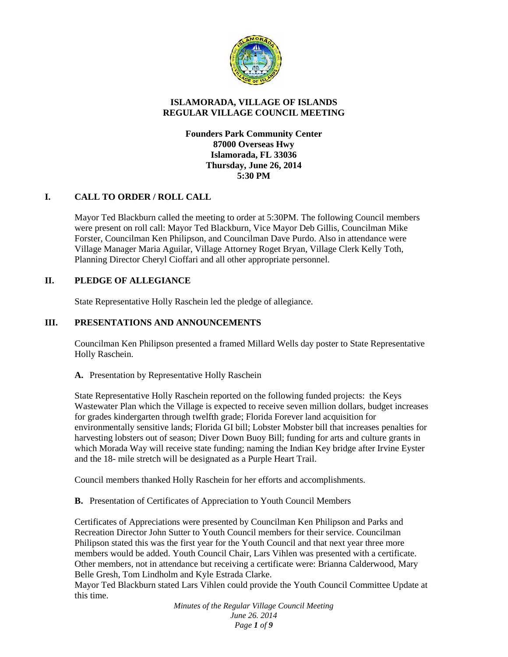

## **ISLAMORADA, VILLAGE OF ISLANDS REGULAR VILLAGE COUNCIL MEETING**

### **Founders Park Community Center 87000 Overseas Hwy Islamorada, FL 33036 Thursday, June 26, 2014 5:30 PM**

## **I. CALL TO ORDER / ROLL CALL**

Mayor Ted Blackburn called the meeting to order at 5:30PM. The following Council members were present on roll call: Mayor Ted Blackburn, Vice Mayor Deb Gillis, Councilman Mike Forster, Councilman Ken Philipson, and Councilman Dave Purdo. Also in attendance were Village Manager Maria Aguilar, Village Attorney Roget Bryan, Village Clerk Kelly Toth, Planning Director Cheryl Cioffari and all other appropriate personnel.

## **II. PLEDGE OF ALLEGIANCE**

State Representative Holly Raschein led the pledge of allegiance.

## **III. PRESENTATIONS AND ANNOUNCEMENTS**

Councilman Ken Philipson presented a framed Millard Wells day poster to State Representative Holly Raschein.

**A.** Presentation by Representative Holly Raschein

State Representative Holly Raschein reported on the following funded projects: the Keys Wastewater Plan which the Village is expected to receive seven million dollars, budget increases for grades kindergarten through twelfth grade; Florida Forever land acquisition for environmentally sensitive lands; Florida GI bill; Lobster Mobster bill that increases penalties for harvesting lobsters out of season; Diver Down Buoy Bill; funding for arts and culture grants in which Morada Way will receive state funding; naming the Indian Key bridge after Irvine Eyster and the 18- mile stretch will be designated as a Purple Heart Trail.

Council members thanked Holly Raschein for her efforts and accomplishments.

**B.** Presentation of Certificates of Appreciation to Youth Council Members

Certificates of Appreciations were presented by Councilman Ken Philipson and Parks and Recreation Director John Sutter to Youth Council members for their service. Councilman Philipson stated this was the first year for the Youth Council and that next year three more members would be added. Youth Council Chair, Lars Vihlen was presented with a certificate. Other members, not in attendance but receiving a certificate were: Brianna Calderwood, Mary Belle Gresh, Tom Lindholm and Kyle Estrada Clarke.

Mayor Ted Blackburn stated Lars Vihlen could provide the Youth Council Committee Update at this time.

> *Minutes of the Regular Village Council Meeting June 26. 2014 Page 1 of 9*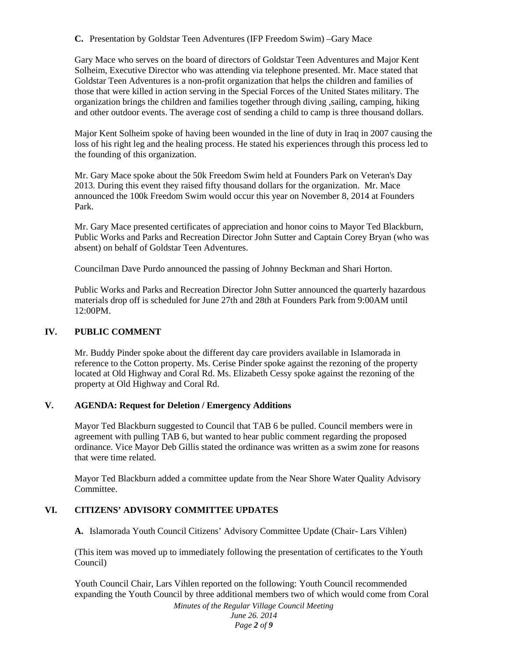**C.** Presentation by Goldstar Teen Adventures (IFP Freedom Swim) –Gary Mace

Gary Mace who serves on the board of directors of Goldstar Teen Adventures and Major Kent Solheim, Executive Director who was attending via telephone presented. Mr. Mace stated that Goldstar Teen Adventures is a non-profit organization that helps the children and families of those that were killed in action serving in the Special Forces of the United States military. The organization brings the children and families together through diving ,sailing, camping, hiking and other outdoor events. The average cost of sending a child to camp is three thousand dollars.

Major Kent Solheim spoke of having been wounded in the line of duty in Iraq in 2007 causing the loss of his right leg and the healing process. He stated his experiences through this process led to the founding of this organization.

Mr. Gary Mace spoke about the 50k Freedom Swim held at Founders Park on Veteran's Day 2013. During this event they raised fifty thousand dollars for the organization. Mr. Mace announced the 100k Freedom Swim would occur this year on November 8, 2014 at Founders Park.

Mr. Gary Mace presented certificates of appreciation and honor coins to Mayor Ted Blackburn, Public Works and Parks and Recreation Director John Sutter and Captain Corey Bryan (who was absent) on behalf of Goldstar Teen Adventures.

Councilman Dave Purdo announced the passing of Johnny Beckman and Shari Horton.

Public Works and Parks and Recreation Director John Sutter announced the quarterly hazardous materials drop off is scheduled for June 27th and 28th at Founders Park from 9:00AM until 12:00PM.

## **IV. PUBLIC COMMENT**

Mr. Buddy Pinder spoke about the different day care providers available in Islamorada in reference to the Cotton property. Ms. Cerise Pinder spoke against the rezoning of the property located at Old Highway and Coral Rd. Ms. Elizabeth Cessy spoke against the rezoning of the property at Old Highway and Coral Rd.

#### **V. AGENDA: Request for Deletion / Emergency Additions**

Mayor Ted Blackburn suggested to Council that TAB 6 be pulled. Council members were in agreement with pulling TAB 6, but wanted to hear public comment regarding the proposed ordinance. Vice Mayor Deb Gillis stated the ordinance was written as a swim zone for reasons that were time related.

Mayor Ted Blackburn added a committee update from the Near Shore Water Quality Advisory Committee.

#### **VI. CITIZENS' ADVISORY COMMITTEE UPDATES**

**A.** Islamorada Youth Council Citizens' Advisory Committee Update (Chair- Lars Vihlen)

(This item was moved up to immediately following the presentation of certificates to the Youth Council)

Youth Council Chair, Lars Vihlen reported on the following: Youth Council recommended expanding the Youth Council by three additional members two of which would come from Coral

*Minutes of the Regular Village Council Meeting June 26. 2014 Page 2 of 9*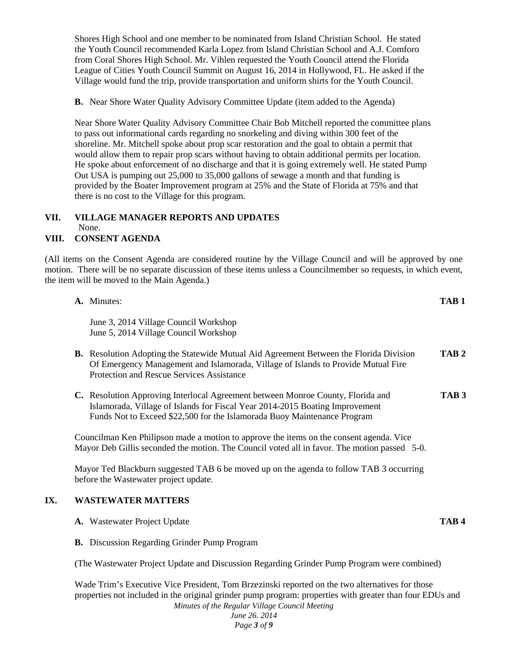Shores High School and one member to be nominated from Island Christian School. He stated the Youth Council recommended Karla Lopez from Island Christian School and A.J. Comforo from Coral Shores High School. Mr. Vihlen requested the Youth Council attend the Florida League of Cities Youth Council Summit on August 16, 2014 in Hollywood, FL. He asked if the Village would fund the trip, provide transportation and uniform shirts for the Youth Council.

**B.** Near Shore Water Quality Advisory Committee Update (item added to the Agenda)

Near Shore Water Quality Advisory Committee Chair Bob Mitchell reported the committee plans to pass out informational cards regarding no snorkeling and diving within 300 feet of the shoreline. Mr. Mitchell spoke about prop scar restoration and the goal to obtain a permit that would allow them to repair prop scars without having to obtain additional permits per location. He spoke about enforcement of no discharge and that it is going extremely well. He stated Pump Out USA is pumping out 25,000 to 35,000 gallons of sewage a month and that funding is provided by the Boater Improvement program at 25% and the State of Florida at 75% and that there is no cost to the Village for this program.

#### **VII. VILLAGE MANAGER REPORTS AND UPDATES** None.

## **VIII. CONSENT AGENDA**

(All items on the Consent Agenda are considered routine by the Village Council and will be approved by one motion. There will be no separate discussion of these items unless a Councilmember so requests, in which event, the item will be moved to the Main Agenda.)

|     | A. Minutes:                                                                                                                                                                                                                                 | TAB <sub>1</sub> |  |
|-----|---------------------------------------------------------------------------------------------------------------------------------------------------------------------------------------------------------------------------------------------|------------------|--|
|     | June 3, 2014 Village Council Workshop<br>June 5, 2014 Village Council Workshop                                                                                                                                                              |                  |  |
|     | <b>B.</b> Resolution Adopting the Statewide Mutual Aid Agreement Between the Florida Division<br>Of Emergency Management and Islamorada, Village of Islands to Provide Mutual Fire<br>Protection and Rescue Services Assistance             | TAB <sub>2</sub> |  |
|     | C. Resolution Approving Interlocal Agreement between Monroe County, Florida and<br>Islamorada, Village of Islands for Fiscal Year 2014-2015 Boating Improvement<br>Funds Not to Exceed \$22,500 for the Islamorada Buoy Maintenance Program | TAB <sub>3</sub> |  |
|     | Councilman Ken Philipson made a motion to approve the items on the consent agenda. Vice<br>Mayor Deb Gillis seconded the motion. The Council voted all in favor. The motion passed 5-0.                                                     |                  |  |
|     | Mayor Ted Blackburn suggested TAB 6 be moved up on the agenda to follow TAB 3 occurring<br>before the Wastewater project update.                                                                                                            |                  |  |
| IX. | <b>WASTEWATER MATTERS</b>                                                                                                                                                                                                                   |                  |  |
|     | A. Wastewater Project Update                                                                                                                                                                                                                | TAB <sub>4</sub> |  |
|     | <b>B.</b> Discussion Regarding Grinder Pump Program                                                                                                                                                                                         |                  |  |
|     | (The Wastewater Project Update and Discussion Regarding Grinder Pump Program were combined)                                                                                                                                                 |                  |  |
|     | Wade Trim's Executive Vice President, Tom Brzezinski reported on the two alternatives for those<br>properties not included in the original grinder pump program: properties with greater than four EDUs and                                 |                  |  |

*Minutes of the Regular Village Council Meeting June 26. 2014*

*Page 3 of 9*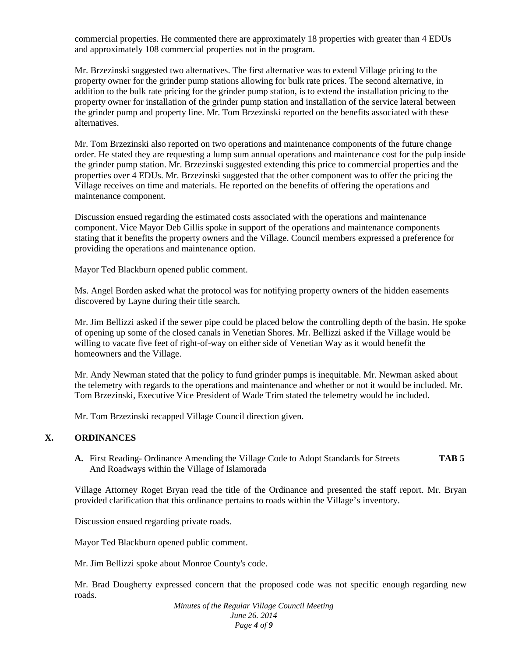commercial properties. He commented there are approximately 18 properties with greater than 4 EDUs and approximately 108 commercial properties not in the program.

Mr. Brzezinski suggested two alternatives. The first alternative was to extend Village pricing to the property owner for the grinder pump stations allowing for bulk rate prices. The second alternative, in addition to the bulk rate pricing for the grinder pump station, is to extend the installation pricing to the property owner for installation of the grinder pump station and installation of the service lateral between the grinder pump and property line. Mr. Tom Brzezinski reported on the benefits associated with these alternatives.

Mr. Tom Brzezinski also reported on two operations and maintenance components of the future change order. He stated they are requesting a lump sum annual operations and maintenance cost for the pulp inside the grinder pump station. Mr. Brzezinski suggested extending this price to commercial properties and the properties over 4 EDUs. Mr. Brzezinski suggested that the other component was to offer the pricing the Village receives on time and materials. He reported on the benefits of offering the operations and maintenance component.

Discussion ensued regarding the estimated costs associated with the operations and maintenance component. Vice Mayor Deb Gillis spoke in support of the operations and maintenance components stating that it benefits the property owners and the Village. Council members expressed a preference for providing the operations and maintenance option.

Mayor Ted Blackburn opened public comment.

Ms. Angel Borden asked what the protocol was for notifying property owners of the hidden easements discovered by Layne during their title search.

Mr. Jim Bellizzi asked if the sewer pipe could be placed below the controlling depth of the basin. He spoke of opening up some of the closed canals in Venetian Shores. Mr. Bellizzi asked if the Village would be willing to vacate five feet of right-of-way on either side of Venetian Way as it would benefit the homeowners and the Village.

Mr. Andy Newman stated that the policy to fund grinder pumps is inequitable. Mr. Newman asked about the telemetry with regards to the operations and maintenance and whether or not it would be included. Mr. Tom Brzezinski, Executive Vice President of Wade Trim stated the telemetry would be included.

Mr. Tom Brzezinski recapped Village Council direction given.

#### **X. ORDINANCES**

**A.** First Reading- Ordinance Amending the Village Code to Adopt Standards for Streets **TAB 5** And Roadways within the Village of Islamorada

Village Attorney Roget Bryan read the title of the Ordinance and presented the staff report. Mr. Bryan provided clarification that this ordinance pertains to roads within the Village's inventory.

Discussion ensued regarding private roads.

Mayor Ted Blackburn opened public comment.

Mr. Jim Bellizzi spoke about Monroe County's code.

Mr. Brad Dougherty expressed concern that the proposed code was not specific enough regarding new roads.

> *Minutes of the Regular Village Council Meeting June 26. 2014 Page 4 of 9*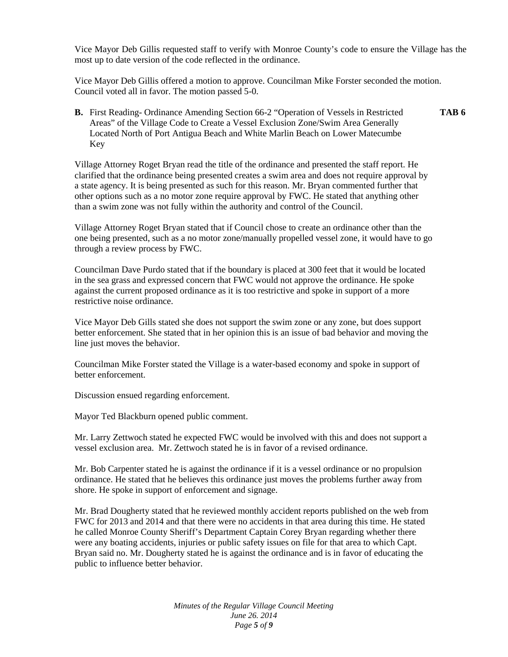Vice Mayor Deb Gillis requested staff to verify with Monroe County's code to ensure the Village has the most up to date version of the code reflected in the ordinance.

Vice Mayor Deb Gillis offered a motion to approve. Councilman Mike Forster seconded the motion. Council voted all in favor. The motion passed 5-0.

**B.** First Reading- Ordinance Amending Section 66-2 "Operation of Vessels in Restricted **TAB 6** Areas" of the Village Code to Create a Vessel Exclusion Zone/Swim Area Generally Located North of Port Antigua Beach and White Marlin Beach on Lower Matecumbe Key

Village Attorney Roget Bryan read the title of the ordinance and presented the staff report. He clarified that the ordinance being presented creates a swim area and does not require approval by a state agency. It is being presented as such for this reason. Mr. Bryan commented further that other options such as a no motor zone require approval by FWC. He stated that anything other than a swim zone was not fully within the authority and control of the Council.

Village Attorney Roget Bryan stated that if Council chose to create an ordinance other than the one being presented, such as a no motor zone/manually propelled vessel zone, it would have to go through a review process by FWC.

Councilman Dave Purdo stated that if the boundary is placed at 300 feet that it would be located in the sea grass and expressed concern that FWC would not approve the ordinance. He spoke against the current proposed ordinance as it is too restrictive and spoke in support of a more restrictive noise ordinance.

Vice Mayor Deb Gills stated she does not support the swim zone or any zone, but does support better enforcement. She stated that in her opinion this is an issue of bad behavior and moving the line just moves the behavior.

Councilman Mike Forster stated the Village is a water-based economy and spoke in support of better enforcement.

Discussion ensued regarding enforcement.

Mayor Ted Blackburn opened public comment.

Mr. Larry Zettwoch stated he expected FWC would be involved with this and does not support a vessel exclusion area. Mr. Zettwoch stated he is in favor of a revised ordinance.

Mr. Bob Carpenter stated he is against the ordinance if it is a vessel ordinance or no propulsion ordinance. He stated that he believes this ordinance just moves the problems further away from shore. He spoke in support of enforcement and signage.

Mr. Brad Dougherty stated that he reviewed monthly accident reports published on the web from FWC for 2013 and 2014 and that there were no accidents in that area during this time. He stated he called Monroe County Sheriff's Department Captain Corey Bryan regarding whether there were any boating accidents, injuries or public safety issues on file for that area to which Capt. Bryan said no. Mr. Dougherty stated he is against the ordinance and is in favor of educating the public to influence better behavior.

> *Minutes of the Regular Village Council Meeting June 26. 2014 Page 5 of 9*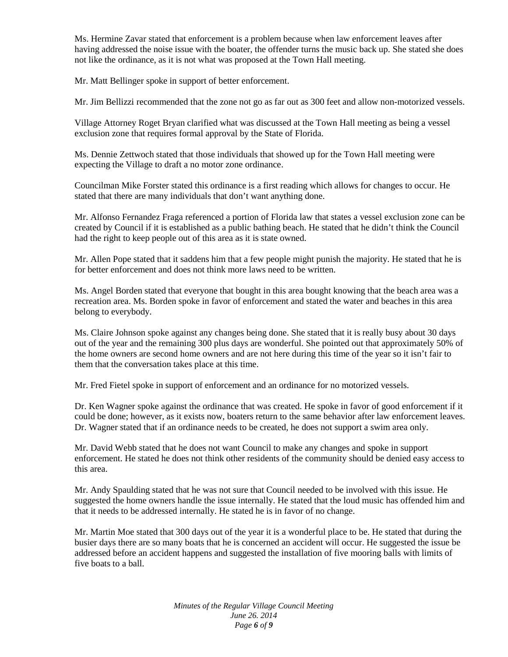Ms. Hermine Zavar stated that enforcement is a problem because when law enforcement leaves after having addressed the noise issue with the boater, the offender turns the music back up. She stated she does not like the ordinance, as it is not what was proposed at the Town Hall meeting.

Mr. Matt Bellinger spoke in support of better enforcement.

Mr. Jim Bellizzi recommended that the zone not go as far out as 300 feet and allow non-motorized vessels.

Village Attorney Roget Bryan clarified what was discussed at the Town Hall meeting as being a vessel exclusion zone that requires formal approval by the State of Florida.

Ms. Dennie Zettwoch stated that those individuals that showed up for the Town Hall meeting were expecting the Village to draft a no motor zone ordinance.

Councilman Mike Forster stated this ordinance is a first reading which allows for changes to occur. He stated that there are many individuals that don't want anything done.

Mr. Alfonso Fernandez Fraga referenced a portion of Florida law that states a vessel exclusion zone can be created by Council if it is established as a public bathing beach. He stated that he didn't think the Council had the right to keep people out of this area as it is state owned.

Mr. Allen Pope stated that it saddens him that a few people might punish the majority. He stated that he is for better enforcement and does not think more laws need to be written.

Ms. Angel Borden stated that everyone that bought in this area bought knowing that the beach area was a recreation area. Ms. Borden spoke in favor of enforcement and stated the water and beaches in this area belong to everybody.

Ms. Claire Johnson spoke against any changes being done. She stated that it is really busy about 30 days out of the year and the remaining 300 plus days are wonderful. She pointed out that approximately 50% of the home owners are second home owners and are not here during this time of the year so it isn't fair to them that the conversation takes place at this time.

Mr. Fred Fietel spoke in support of enforcement and an ordinance for no motorized vessels.

Dr. Ken Wagner spoke against the ordinance that was created. He spoke in favor of good enforcement if it could be done; however, as it exists now, boaters return to the same behavior after law enforcement leaves. Dr. Wagner stated that if an ordinance needs to be created, he does not support a swim area only.

Mr. David Webb stated that he does not want Council to make any changes and spoke in support enforcement. He stated he does not think other residents of the community should be denied easy access to this area.

Mr. Andy Spaulding stated that he was not sure that Council needed to be involved with this issue. He suggested the home owners handle the issue internally. He stated that the loud music has offended him and that it needs to be addressed internally. He stated he is in favor of no change.

Mr. Martin Moe stated that 300 days out of the year it is a wonderful place to be. He stated that during the busier days there are so many boats that he is concerned an accident will occur. He suggested the issue be addressed before an accident happens and suggested the installation of five mooring balls with limits of five boats to a ball.

> *Minutes of the Regular Village Council Meeting June 26. 2014 Page 6 of 9*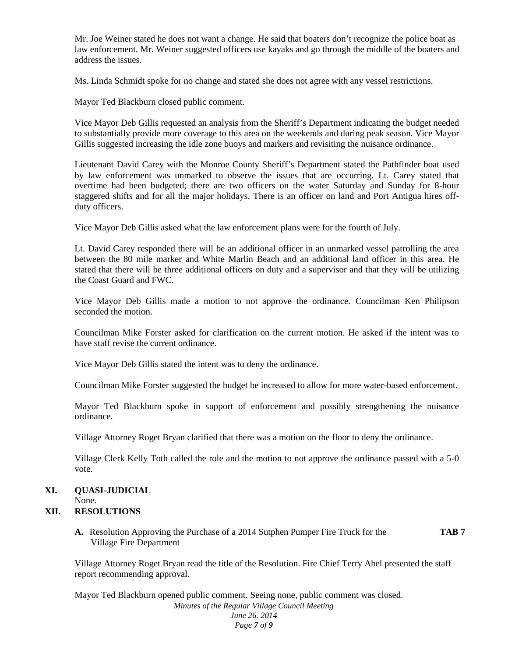Mr. Joe Weiner stated he does not want a change. He said that boaters don't recognize the police boat as law enforcement. Mr. Weiner suggested officers use kayaks and go through the middle of the boaters and address the issues.

Ms. Linda Schmidt spoke for no change and stated she does not agree with any vessel restrictions.

Mayor Ted Blackburn closed public comment.

Vice Mayor Deb Gillis requested an analysis from the Sheriff's Department indicating the budget needed to substantially provide more coverage to this area on the weekends and during peak season. Vice Mayor Gillis suggested increasing the idle zone buoys and markers and revisiting the nuisance ordinance.

Lieutenant David Carey with the Monroe County Sheriff's Department stated the Pathfinder boat used by law enforcement was unmarked to observe the issues that are occurring. Lt. Carey stated that overtime had been budgeted; there are two officers on the water Saturday and Sunday for 8-hour staggered shifts and for all the major holidays. There is an officer on land and Port Antigua hires off duty officers.

Vice Mayor Deb Gillis asked what the law enforcement plans were for the fourth of July.

Lt. David Carey responded there will be an additional officer in an unmarked vessel patrolling the area between the 80 mile marker and White Marlin Beach and an additional land officer in this area. He stated that there will be three additional officers on duty and a supervisor and that they will be utilizing the Coast Guard and FWC.

Vice Mayor Deb Gillis made a motion to not approve the ordinance. Councilman Ken Philipson seconded the motion.

Councilman Mike Forster asked for clarification on the current motion. He asked if the intent was to have staff revise the current ordinance.

Vice Mayor Deb Gillis stated the intent was to deny the ordinance.

Councilman Mike Forster suggested the budget be increased to allow for more water-based enforcement.

Mayor Ted Blackburn spoke in support of enforcement and possibly strengthening the nuisance ordinance.

Village Attorney Roget Bryan clarified that there was a motion on the floor to deny the ordinance.

Village Clerk Kelly Toth called the role and the motion to not approve the ordinance passed with a 5-0 vote.

# **XI. QUASI-JUDICIAL**

None.

#### **XII. RESOLUTIONS**

**A.** Resolution Approving the Purchase of a 2014 Sutphen Pumper Fire Truck for the **TAB 7** Village Fire Department

Village Attorney Roget Bryan read the title of the Resolution. Fire Chief Terry Abel presented the staff report recommending approval.

*Minutes of the Regular Village Council Meeting June 26. 2014 Page 7 of 9* Mayor Ted Blackburn opened public comment. Seeing none, public comment was closed.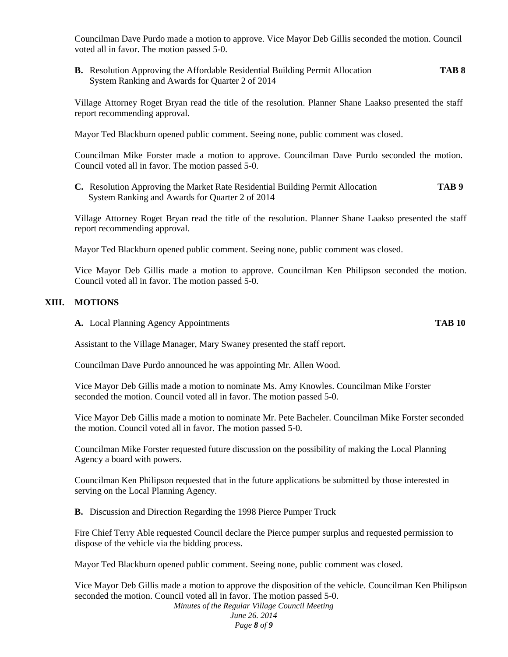Councilman Dave Purdo made a motion to approve. Vice Mayor Deb Gillis seconded the motion. Council voted all in favor. The motion passed 5-0.

**B.** Resolution Approving the Affordable Residential Building Permit Allocation **TAB 8** System Ranking and Awards for Quarter 2 of 2014

Village Attorney Roget Bryan read the title of the resolution. Planner Shane Laakso presented the staff report recommending approval.

Mayor Ted Blackburn opened public comment. Seeing none, public comment was closed.

Councilman Mike Forster made a motion to approve. Councilman Dave Purdo seconded the motion. Council voted all in favor. The motion passed 5-0.

**C.** Resolution Approving the Market Rate Residential Building Permit Allocation **TAB 9** System Ranking and Awards for Quarter 2 of 2014

Village Attorney Roget Bryan read the title of the resolution. Planner Shane Laakso presented the staff report recommending approval.

Mayor Ted Blackburn opened public comment. Seeing none, public comment was closed.

Vice Mayor Deb Gillis made a motion to approve. Councilman Ken Philipson seconded the motion. Council voted all in favor. The motion passed 5-0.

#### **XIII. MOTIONS**

**A.** Local Planning Agency Appointments **TAB 10**

Assistant to the Village Manager, Mary Swaney presented the staff report.

Councilman Dave Purdo announced he was appointing Mr. Allen Wood.

Vice Mayor Deb Gillis made a motion to nominate Ms. Amy Knowles. Councilman Mike Forster seconded the motion. Council voted all in favor. The motion passed 5-0.

Vice Mayor Deb Gillis made a motion to nominate Mr. Pete Bacheler. Councilman Mike Forster seconded the motion. Council voted all in favor. The motion passed 5-0.

Councilman Mike Forster requested future discussion on the possibility of making the Local Planning Agency a board with powers.

Councilman Ken Philipson requested that in the future applications be submitted by those interested in serving on the Local Planning Agency.

**B.** Discussion and Direction Regarding the 1998 Pierce Pumper Truck

Fire Chief Terry Able requested Council declare the Pierce pumper surplus and requested permission to dispose of the vehicle via the bidding process.

Mayor Ted Blackburn opened public comment. Seeing none, public comment was closed.

*Minutes of the Regular Village Council Meeting June 26. 2014* Vice Mayor Deb Gillis made a motion to approve the disposition of the vehicle. Councilman Ken Philipson seconded the motion. Council voted all in favor. The motion passed 5-0.

*Page 8 of 9*